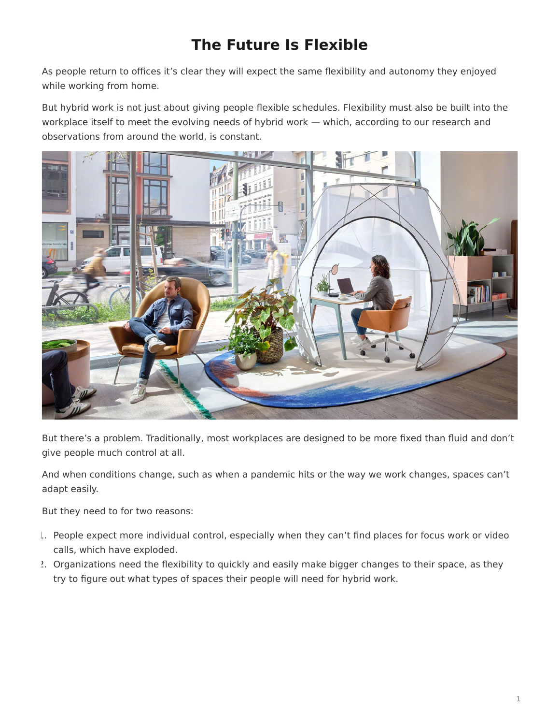## **The Future Is Flexible**

<span id="page-0-0"></span>As people return to offices it's clear they will expect the same flexibility and autonomy they enjoyed while working from home.

But hybrid work is not just about giving people flexible schedules. Flexibility must also be built into the workplace itself to meet the evolving needs of hybrid work — which, according to our research and observations from around the world, is constant.



But there's a problem. Traditionally, most workplaces are designed to be more fixed than fluid and don't give people much control at all.

And when conditions change, such as when a pandemic hits or the way we work changes, spaces can't adapt easily.

But they need to for two reasons:

- 1. People expect more individual control, especially when they can't find places for focus work or video calls, which have exploded.
- 2. Organizations need the flexibility to quickly and easily make bigger changes to their space, as they try to figure out what types of spaces their people will need for hybrid work.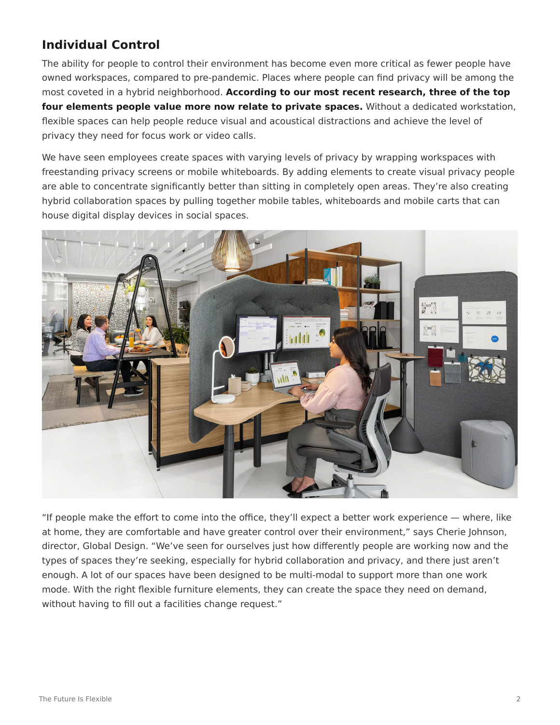## **Individual Control**

The ability for people to control their environment has become even more critical as fewer people have owned workspaces, compared to pre-pandemic. Places where people can find privacy will be among the most coveted in a hybrid neighborhood. **According to our most recent research, three of the top four elements people value more now relate to private spaces.** Without a dedicated workstation, flexible spaces can help people reduce visual and acoustical distractions and achieve the level of privacy they need for focus work or video calls.

We have seen employees create spaces with varying levels of privacy by wrapping workspaces with freestanding privacy screens or mobile whiteboards. By adding elements to create visual privacy people are able to concentrate significantly better than sitting in completely open areas. They're also creating hybrid collaboration spaces by pulling together mobile tables, whiteboards and mobile carts that can house digital display devices in social spaces.



"If people make the effort to come into the office, they'll expect a better work experience — where, like at home, they are comfortable and have greater control over their environment," says Cherie Johnson, director, Global Design. "We've seen for ourselves just how differently people are working now and the types of spaces they're seeking, especially for hybrid collaboration and privacy, and there just aren't enough. A lot of our spaces have been designed to be multi-modal to support more than one work mode. With the right flexible furniture elements, they can create the space they need on demand, without having to fill out a facilities change request."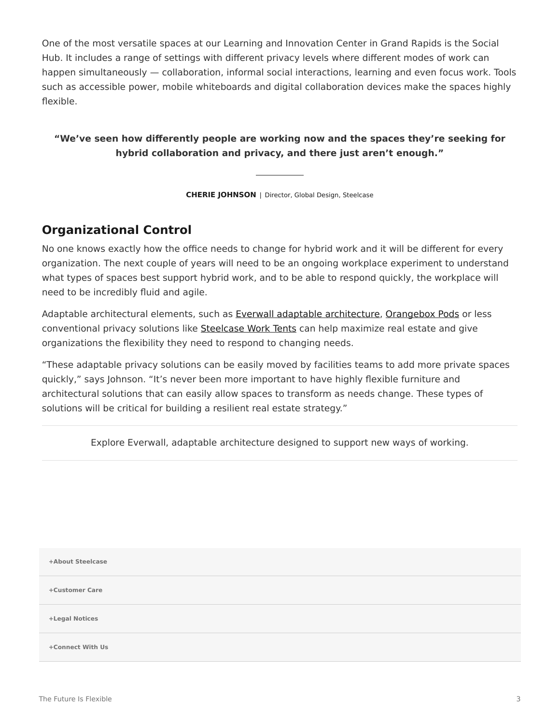One of the most versatile spaces at our Learning and Innovation Center in Grand Rapids is the Social Hub. It includes a range of settings with different privacy levels where different modes of work can happen simultaneously — collaboration, informal social interactions, learning and even focus work. Tools such as accessible power, mobile whiteboards and digital collaboration devices make the spaces highly flexible.

## **"We've seen how differently people are working now and the spaces they're seeking for hybrid collaboration and privacy, and there just aren't enough."**

**CHERIE JOHNSON** | Director, Global Design, Steelcase

## **Organizational Control**

No one knows exactly how the office needs to change for hybrid work and it will be different for every organization. The next couple of years will need to be an ongoing workplace experiment to understand what types of spaces best support hybrid work, and to be able to respond quickly, the workplace will need to be incredibly fluid and agile.

Adaptable architectural elements, such as [Everwall adaptable architecture](https://www.steelcase.com/products/walls-work-walls/everwall/), [Orangebox Pods](https://www.steelcase.com/brands/orangebox/) or less conventional privacy solutions like [Steelcase Work Tents](https://www.steelcase.com/products/screens/steelcase-work-tents-collection/) can help maximize real estate and give organizations the flexibility they need to respond to changing needs.

"These adaptable privacy solutions can be easily moved by facilities teams to add more private spaces quickly," says Johnson. "It's never been more important to have highly flexible furniture and architectural solutions that can easily allow spaces to transform as needs change. These types of solutions will be critical for building a resilient real estate strategy."

Explore Everwall, adaptable architecture designed to support new ways of working.

**[+About Steelcase](https://www.steelcase.com/discover/steelcase/our-company/)**

**[+Customer Care](#page-0-0)**

**[+Legal Notices](#page-0-0)**

**[Connect With Us](https://www.steelcase.com/find-us/social-media/) [+](https://www.steelcase.com/find-us/social-media/)**